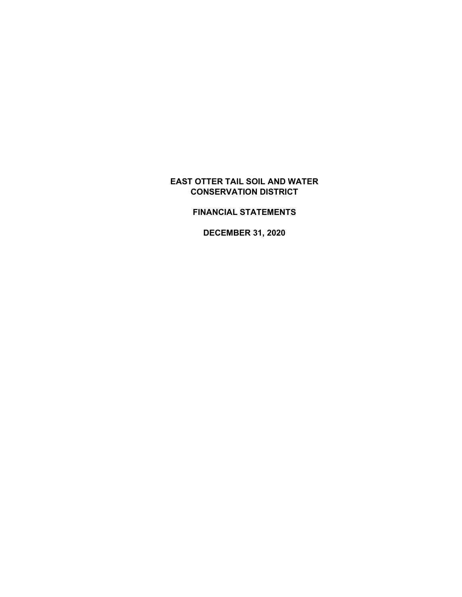# **EAST OTTER TAIL SOIL AND WATER CONSERVATION DISTRICT**

## **FINANCIAL STATEMENTS**

**DECEMBER 31, 2020**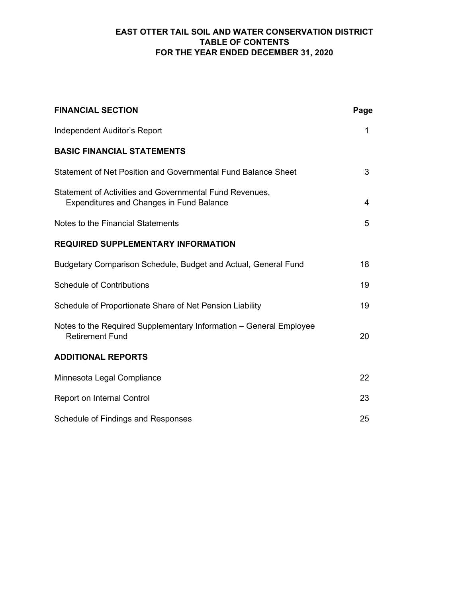# **EAST OTTER TAIL SOIL AND WATER CONSERVATION DISTRICT TABLE OF CONTENTS FOR THE YEAR ENDED DECEMBER 31, 2020**

| <b>FINANCIAL SECTION</b>                                                                                   | Page           |
|------------------------------------------------------------------------------------------------------------|----------------|
| Independent Auditor's Report                                                                               | $\mathbf 1$    |
| <b>BASIC FINANCIAL STATEMENTS</b>                                                                          |                |
| Statement of Net Position and Governmental Fund Balance Sheet                                              | 3              |
| Statement of Activities and Governmental Fund Revenues,<br><b>Expenditures and Changes in Fund Balance</b> | $\overline{4}$ |
| Notes to the Financial Statements                                                                          | 5              |
| <b>REQUIRED SUPPLEMENTARY INFORMATION</b>                                                                  |                |
| Budgetary Comparison Schedule, Budget and Actual, General Fund                                             | 18             |
| <b>Schedule of Contributions</b>                                                                           | 19             |
| Schedule of Proportionate Share of Net Pension Liability                                                   | 19             |
| Notes to the Required Supplementary Information - General Employee<br><b>Retirement Fund</b>               | 20             |
| <b>ADDITIONAL REPORTS</b>                                                                                  |                |
| Minnesota Legal Compliance                                                                                 | 22             |
| Report on Internal Control                                                                                 | 23             |
| Schedule of Findings and Responses                                                                         | 25             |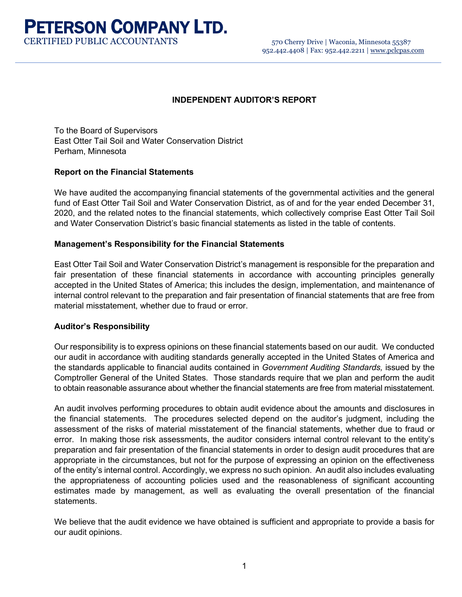952.442.4408 | Fax: 952.442.2211 [| www.pclcpas.com](http://www.pclcpas.com/)

# **PETERSON COMPANY LTD.**<br>CERTIFIED PUBLIC ACCOUNTANTS 570 Cherry Drive | Waconia, Minnesota 55387

# **INDEPENDENT AUDITOR'S REPORT**

To the Board of Supervisors East Otter Tail Soil and Water Conservation District Perham, Minnesota

## **Report on the Financial Statements**

We have audited the accompanying financial statements of the governmental activities and the general fund of East Otter Tail Soil and Water Conservation District, as of and for the year ended December 31, 2020, and the related notes to the financial statements, which collectively comprise East Otter Tail Soil and Water Conservation District's basic financial statements as listed in the table of contents.

# **Management's Responsibility for the Financial Statements**

East Otter Tail Soil and Water Conservation District's management is responsible for the preparation and fair presentation of these financial statements in accordance with accounting principles generally accepted in the United States of America; this includes the design, implementation, and maintenance of internal control relevant to the preparation and fair presentation of financial statements that are free from material misstatement, whether due to fraud or error.

## **Auditor's Responsibility**

Our responsibility is to express opinions on these financial statements based on our audit. We conducted our audit in accordance with auditing standards generally accepted in the United States of America and the standards applicable to financial audits contained in *Government Auditing Standards,* issued by the Comptroller General of the United States. Those standards require that we plan and perform the audit to obtain reasonable assurance about whether the financial statements are free from material misstatement.

An audit involves performing procedures to obtain audit evidence about the amounts and disclosures in the financial statements. The procedures selected depend on the auditor's judgment, including the assessment of the risks of material misstatement of the financial statements, whether due to fraud or error. In making those risk assessments, the auditor considers internal control relevant to the entity's preparation and fair presentation of the financial statements in order to design audit procedures that are appropriate in the circumstances, but not for the purpose of expressing an opinion on the effectiveness of the entity's internal control. Accordingly, we express no such opinion. An audit also includes evaluating the appropriateness of accounting policies used and the reasonableness of significant accounting estimates made by management, as well as evaluating the overall presentation of the financial statements.

We believe that the audit evidence we have obtained is sufficient and appropriate to provide a basis for our audit opinions.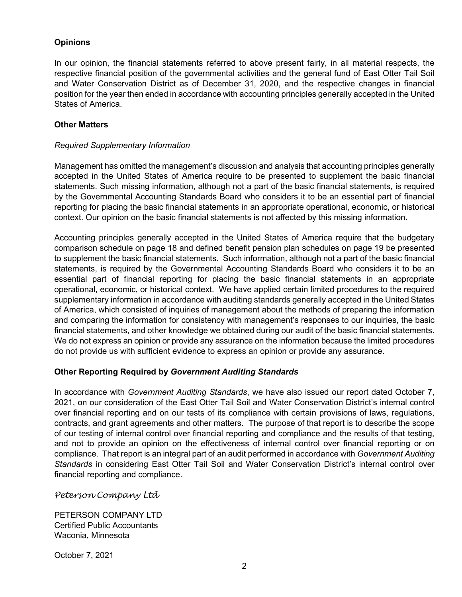# **Opinions**

In our opinion, the financial statements referred to above present fairly, in all material respects, the respective financial position of the governmental activities and the general fund of East Otter Tail Soil and Water Conservation District as of December 31, 2020, and the respective changes in financial position for the year then ended in accordance with accounting principles generally accepted in the United States of America.

## **Other Matters**

## *Required Supplementary Information*

Management has omitted the management's discussion and analysis that accounting principles generally accepted in the United States of America require to be presented to supplement the basic financial statements. Such missing information, although not a part of the basic financial statements, is required by the Governmental Accounting Standards Board who considers it to be an essential part of financial reporting for placing the basic financial statements in an appropriate operational, economic, or historical context. Our opinion on the basic financial statements is not affected by this missing information.

Accounting principles generally accepted in the United States of America require that the budgetary comparison schedule on page 18 and defined benefit pension plan schedules on page 19 be presented to supplement the basic financial statements. Such information, although not a part of the basic financial statements, is required by the Governmental Accounting Standards Board who considers it to be an essential part of financial reporting for placing the basic financial statements in an appropriate operational, economic, or historical context. We have applied certain limited procedures to the required supplementary information in accordance with auditing standards generally accepted in the United States of America, which consisted of inquiries of management about the methods of preparing the information and comparing the information for consistency with management's responses to our inquiries, the basic financial statements, and other knowledge we obtained during our audit of the basic financial statements. We do not express an opinion or provide any assurance on the information because the limited procedures do not provide us with sufficient evidence to express an opinion or provide any assurance.

## **Other Reporting Required by** *Government Auditing Standards*

In accordance with *Government Auditing Standards*, we have also issued our report dated October 7, 2021, on our consideration of the East Otter Tail Soil and Water Conservation District's internal control over financial reporting and on our tests of its compliance with certain provisions of laws, regulations, contracts, and grant agreements and other matters. The purpose of that report is to describe the scope of our testing of internal control over financial reporting and compliance and the results of that testing, and not to provide an opinion on the effectiveness of internal control over financial reporting or on compliance. That report is an integral part of an audit performed in accordance with *Government Auditing Standards* in considering East Otter Tail Soil and Water Conservation District's internal control over financial reporting and compliance.

*Peterson Company Ltd*

PETERSON COMPANY LTD Certified Public Accountants Waconia, Minnesota

October 7, 2021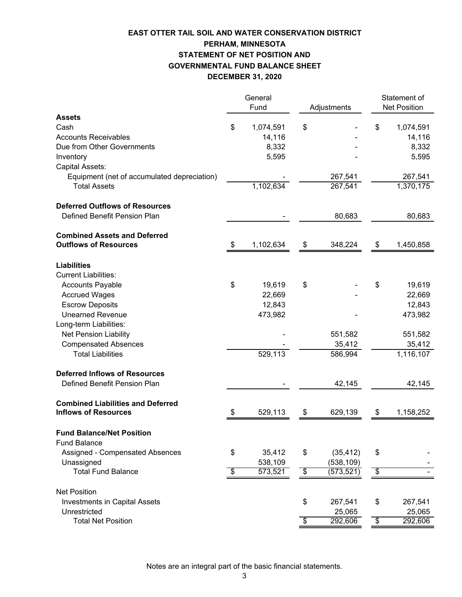# **EAST OTTER TAIL SOIL AND WATER CONSERVATION DISTRICT PERHAM, MINNESOTA STATEMENT OF NET POSITION AND GOVERNMENTAL FUND BALANCE SHEET DECEMBER 31, 2020**

|                                                                |                          | General<br>Fund |                         | Adjustments |                          | Statement of<br><b>Net Position</b> |
|----------------------------------------------------------------|--------------------------|-----------------|-------------------------|-------------|--------------------------|-------------------------------------|
| <b>Assets</b>                                                  |                          |                 |                         |             |                          |                                     |
| Cash                                                           | \$                       | 1,074,591       | \$                      |             | \$                       | 1,074,591                           |
| <b>Accounts Receivables</b>                                    |                          | 14,116          |                         |             |                          | 14,116                              |
| Due from Other Governments                                     |                          | 8,332           |                         |             |                          | 8,332                               |
| Inventory                                                      |                          | 5,595           |                         |             |                          | 5,595                               |
| Capital Assets:<br>Equipment (net of accumulated depreciation) |                          |                 |                         | 267,541     |                          | 267,541                             |
| <b>Total Assets</b>                                            |                          | 1,102,634       |                         | 267,541     |                          | 1,370,175                           |
|                                                                |                          |                 |                         |             |                          |                                     |
| <b>Deferred Outflows of Resources</b>                          |                          |                 |                         |             |                          |                                     |
| Defined Benefit Pension Plan                                   |                          |                 |                         | 80,683      |                          | 80,683                              |
|                                                                |                          |                 |                         |             |                          |                                     |
| <b>Combined Assets and Deferred</b>                            |                          |                 |                         |             |                          |                                     |
| <b>Outflows of Resources</b>                                   | \$                       | 1,102,634       | \$                      | 348,224     | \$                       | 1,450,858                           |
|                                                                |                          |                 |                         |             |                          |                                     |
| <b>Liabilities</b><br><b>Current Liabilities:</b>              |                          |                 |                         |             |                          |                                     |
|                                                                | \$                       | 19,619          |                         |             |                          |                                     |
| <b>Accounts Payable</b><br><b>Accrued Wages</b>                |                          | 22,669          | \$                      |             | \$                       | 19,619<br>22,669                    |
| <b>Escrow Deposits</b>                                         |                          | 12,843          |                         |             |                          | 12,843                              |
| <b>Unearned Revenue</b>                                        |                          | 473,982         |                         |             |                          | 473,982                             |
| Long-term Liabilities:                                         |                          |                 |                         |             |                          |                                     |
| Net Pension Liability                                          |                          |                 |                         | 551,582     |                          | 551,582                             |
| <b>Compensated Absences</b>                                    |                          |                 |                         | 35,412      |                          | 35,412                              |
| <b>Total Liabilities</b>                                       |                          | 529,113         |                         | 586,994     |                          | 1,116,107                           |
|                                                                |                          |                 |                         |             |                          |                                     |
| <b>Deferred Inflows of Resources</b>                           |                          |                 |                         |             |                          |                                     |
| Defined Benefit Pension Plan                                   |                          |                 |                         | 42,145      |                          | 42,145                              |
|                                                                |                          |                 |                         |             |                          |                                     |
| <b>Combined Liabilities and Deferred</b>                       |                          |                 |                         |             |                          |                                     |
| <b>Inflows of Resources</b>                                    |                          | 529,113         | \$                      | 629,139     | \$                       | 1,158,252                           |
|                                                                |                          |                 |                         |             |                          |                                     |
| <b>Fund Balance/Net Position</b><br><b>Fund Balance</b>        |                          |                 |                         |             |                          |                                     |
| Assigned - Compensated Absences                                | \$                       | 35,412          | \$                      | (35, 412)   | \$                       |                                     |
| Unassigned                                                     |                          | 538,109         |                         | (538, 109)  |                          |                                     |
| <b>Total Fund Balance</b>                                      | $\overline{\mathcal{E}}$ | 573,521         | $\sqrt[6]{\frac{1}{2}}$ | (573, 521)  | \$                       |                                     |
|                                                                |                          |                 |                         |             |                          |                                     |
| <b>Net Position</b>                                            |                          |                 |                         |             |                          |                                     |
| <b>Investments in Capital Assets</b>                           |                          |                 | \$                      | 267,541     | \$                       | 267,541                             |
| Unrestricted                                                   |                          |                 |                         | 25,065      |                          | 25,065                              |
| <b>Total Net Position</b>                                      |                          |                 | $\overline{\$}$         | 292,606     | $\overline{\mathcal{E}}$ | 292,606                             |

Notes are an integral part of the basic financial statements.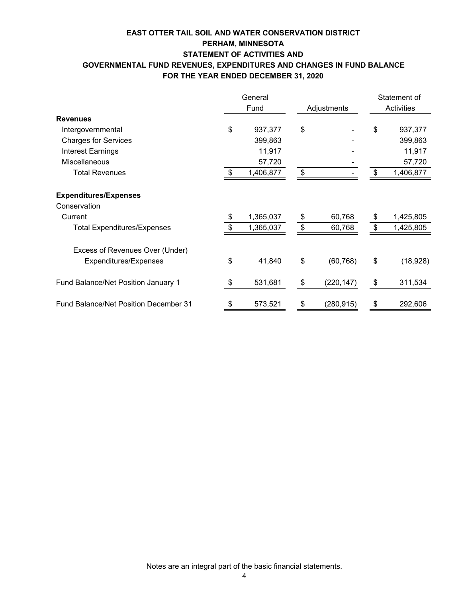# **EAST OTTER TAIL SOIL AND WATER CONSERVATION DISTRICT PERHAM, MINNESOTA STATEMENT OF ACTIVITIES AND GOVERNMENTAL FUND REVENUES, EXPENDITURES AND CHANGES IN FUND BALANCE FOR THE YEAR ENDED DECEMBER 31, 2020**

|                                       |      | General   |                  |    | Statement of      |  |
|---------------------------------------|------|-----------|------------------|----|-------------------|--|
|                                       | Fund |           | Adjustments      |    | <b>Activities</b> |  |
| <b>Revenues</b>                       |      |           |                  |    |                   |  |
| Intergovernmental                     | \$   | 937,377   | \$               | \$ | 937,377           |  |
| <b>Charges for Services</b>           |      | 399,863   |                  |    | 399,863           |  |
| Interest Earnings                     |      | 11,917    |                  |    | 11,917            |  |
| Miscellaneous                         |      | 57,720    |                  |    | 57,720            |  |
| <b>Total Revenues</b>                 | \$   | 1,406,877 | \$               | \$ | 1,406,877         |  |
| <b>Expenditures/Expenses</b>          |      |           |                  |    |                   |  |
| Conservation                          |      |           |                  |    |                   |  |
| Current                               | \$   | 1,365,037 | \$<br>60,768     | \$ | 1,425,805         |  |
| <b>Total Expenditures/Expenses</b>    |      | 1,365,037 | \$<br>60,768     | \$ | 1,425,805         |  |
| Excess of Revenues Over (Under)       |      |           |                  |    |                   |  |
| Expenditures/Expenses                 | \$   | 41,840    | \$<br>(60, 768)  | \$ | (18,928)          |  |
| Fund Balance/Net Position January 1   | \$   | 531,681   | \$<br>(220, 147) | \$ | 311,534           |  |
| Fund Balance/Net Position December 31 | \$   | 573,521   | \$<br>(280, 915) | \$ | 292,606           |  |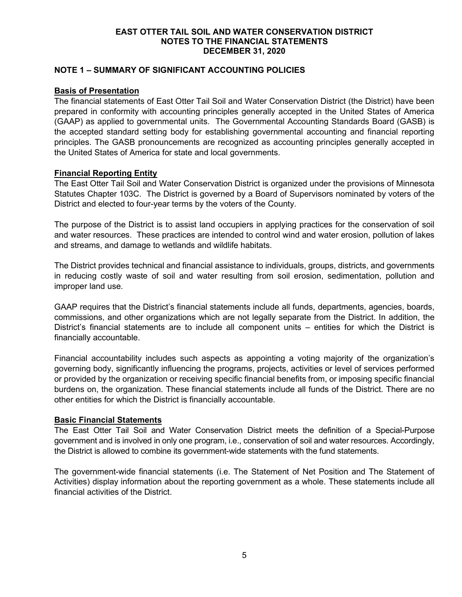## **NOTE 1 – SUMMARY OF SIGNIFICANT ACCOUNTING POLICIES**

### **Basis of Presentation**

The financial statements of East Otter Tail Soil and Water Conservation District (the District) have been prepared in conformity with accounting principles generally accepted in the United States of America (GAAP) as applied to governmental units. The Governmental Accounting Standards Board (GASB) is the accepted standard setting body for establishing governmental accounting and financial reporting principles. The GASB pronouncements are recognized as accounting principles generally accepted in the United States of America for state and local governments.

#### **Financial Reporting Entity**

The East Otter Tail Soil and Water Conservation District is organized under the provisions of Minnesota Statutes Chapter 103C. The District is governed by a Board of Supervisors nominated by voters of the District and elected to four-year terms by the voters of the County.

The purpose of the District is to assist land occupiers in applying practices for the conservation of soil and water resources. These practices are intended to control wind and water erosion, pollution of lakes and streams, and damage to wetlands and wildlife habitats.

The District provides technical and financial assistance to individuals, groups, districts, and governments in reducing costly waste of soil and water resulting from soil erosion, sedimentation, pollution and improper land use.

GAAP requires that the District's financial statements include all funds, departments, agencies, boards, commissions, and other organizations which are not legally separate from the District. In addition, the District's financial statements are to include all component units – entities for which the District is financially accountable.

Financial accountability includes such aspects as appointing a voting majority of the organization's governing body, significantly influencing the programs, projects, activities or level of services performed or provided by the organization or receiving specific financial benefits from, or imposing specific financial burdens on, the organization. These financial statements include all funds of the District. There are no other entities for which the District is financially accountable.

#### **Basic Financial Statements**

The East Otter Tail Soil and Water Conservation District meets the definition of a Special-Purpose government and is involved in only one program, i.e., conservation of soil and water resources. Accordingly, the District is allowed to combine its government-wide statements with the fund statements.

The government-wide financial statements (i.e. The Statement of Net Position and The Statement of Activities) display information about the reporting government as a whole. These statements include all financial activities of the District.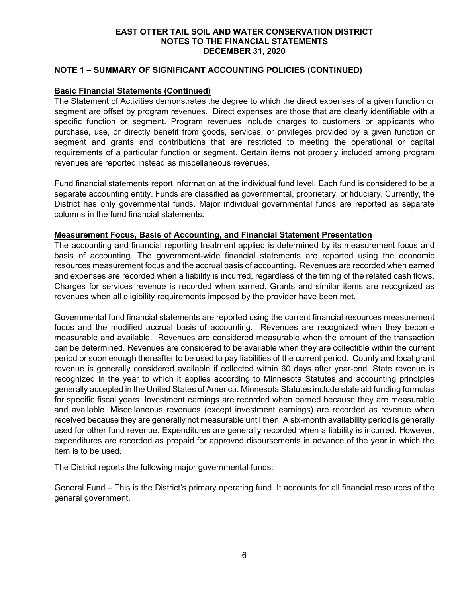## **NOTE 1 – SUMMARY OF SIGNIFICANT ACCOUNTING POLICIES (CONTINUED)**

#### **Basic Financial Statements (Continued)**

The Statement of Activities demonstrates the degree to which the direct expenses of a given function or segment are offset by program revenues. Direct expenses are those that are clearly identifiable with a specific function or segment. Program revenues include charges to customers or applicants who purchase, use, or directly benefit from goods, services, or privileges provided by a given function or segment and grants and contributions that are restricted to meeting the operational or capital requirements of a particular function or segment. Certain items not properly included among program revenues are reported instead as miscellaneous revenues.

Fund financial statements report information at the individual fund level. Each fund is considered to be a separate accounting entity. Funds are classified as governmental, proprietary, or fiduciary. Currently, the District has only governmental funds. Major individual governmental funds are reported as separate columns in the fund financial statements.

#### **Measurement Focus, Basis of Accounting, and Financial Statement Presentation**

The accounting and financial reporting treatment applied is determined by its measurement focus and basis of accounting. The government-wide financial statements are reported using the economic resources measurement focus and the accrual basis of accounting. Revenues are recorded when earned and expenses are recorded when a liability is incurred, regardless of the timing of the related cash flows. Charges for services revenue is recorded when earned. Grants and similar items are recognized as revenues when all eligibility requirements imposed by the provider have been met.

Governmental fund financial statements are reported using the current financial resources measurement focus and the modified accrual basis of accounting. Revenues are recognized when they become measurable and available. Revenues are considered measurable when the amount of the transaction can be determined. Revenues are considered to be available when they are collectible within the current period or soon enough thereafter to be used to pay liabilities of the current period. County and local grant revenue is generally considered available if collected within 60 days after year-end. State revenue is recognized in the year to which it applies according to Minnesota Statutes and accounting principles generally accepted in the United States of America. Minnesota Statutes include state aid funding formulas for specific fiscal years. Investment earnings are recorded when earned because they are measurable and available. Miscellaneous revenues (except investment earnings) are recorded as revenue when received because they are generally not measurable until then. A six-month availability period is generally used for other fund revenue. Expenditures are generally recorded when a liability is incurred. However, expenditures are recorded as prepaid for approved disbursements in advance of the year in which the item is to be used.

The District reports the following major governmental funds:

General Fund – This is the District's primary operating fund. It accounts for all financial resources of the general government.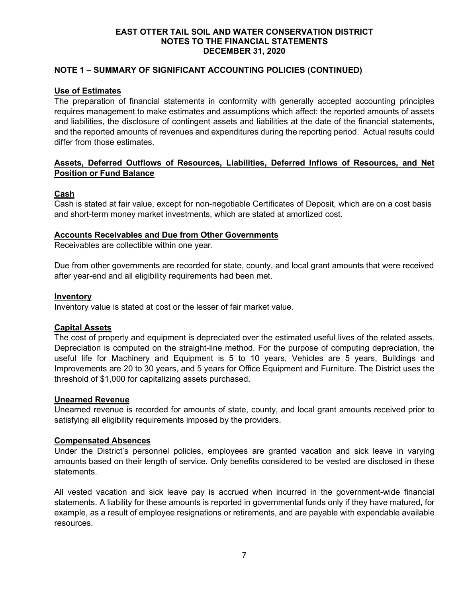## **NOTE 1 – SUMMARY OF SIGNIFICANT ACCOUNTING POLICIES (CONTINUED)**

#### **Use of Estimates**

The preparation of financial statements in conformity with generally accepted accounting principles requires management to make estimates and assumptions which affect: the reported amounts of assets and liabilities, the disclosure of contingent assets and liabilities at the date of the financial statements, and the reported amounts of revenues and expenditures during the reporting period. Actual results could differ from those estimates.

# **Assets, Deferred Outflows of Resources, Liabilities, Deferred Inflows of Resources, and Net Position or Fund Balance**

#### **Cash**

Cash is stated at fair value, except for non-negotiable Certificates of Deposit, which are on a cost basis and short-term money market investments, which are stated at amortized cost.

#### **Accounts Receivables and Due from Other Governments**

Receivables are collectible within one year.

Due from other governments are recorded for state, county, and local grant amounts that were received after year-end and all eligibility requirements had been met.

#### **Inventory**

Inventory value is stated at cost or the lesser of fair market value.

#### **Capital Assets**

The cost of property and equipment is depreciated over the estimated useful lives of the related assets. Depreciation is computed on the straight-line method. For the purpose of computing depreciation, the useful life for Machinery and Equipment is 5 to 10 years, Vehicles are 5 years, Buildings and Improvements are 20 to 30 years, and 5 years for Office Equipment and Furniture. The District uses the threshold of \$1,000 for capitalizing assets purchased.

#### **Unearned Revenue**

Unearned revenue is recorded for amounts of state, county, and local grant amounts received prior to satisfying all eligibility requirements imposed by the providers.

#### **Compensated Absences**

Under the District's personnel policies, employees are granted vacation and sick leave in varying amounts based on their length of service. Only benefits considered to be vested are disclosed in these statements.

All vested vacation and sick leave pay is accrued when incurred in the government-wide financial statements. A liability for these amounts is reported in governmental funds only if they have matured, for example, as a result of employee resignations or retirements, and are payable with expendable available resources.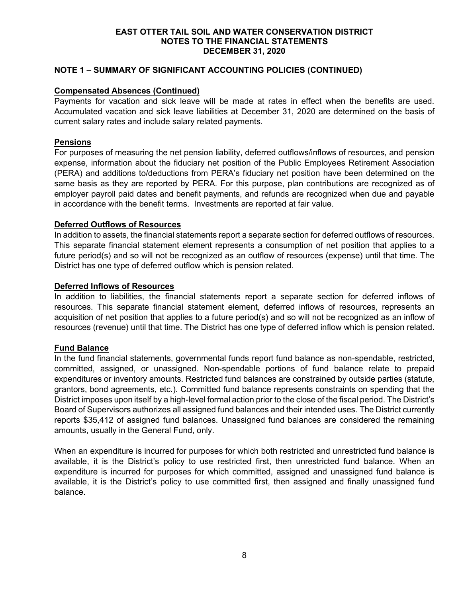## **NOTE 1 – SUMMARY OF SIGNIFICANT ACCOUNTING POLICIES (CONTINUED)**

### **Compensated Absences (Continued)**

Payments for vacation and sick leave will be made at rates in effect when the benefits are used. Accumulated vacation and sick leave liabilities at December 31, 2020 are determined on the basis of current salary rates and include salary related payments.

### **Pensions**

For purposes of measuring the net pension liability, deferred outflows/inflows of resources, and pension expense, information about the fiduciary net position of the Public Employees Retirement Association (PERA) and additions to/deductions from PERA's fiduciary net position have been determined on the same basis as they are reported by PERA. For this purpose, plan contributions are recognized as of employer payroll paid dates and benefit payments, and refunds are recognized when due and payable in accordance with the benefit terms. Investments are reported at fair value.

#### **Deferred Outflows of Resources**

In addition to assets, the financial statements report a separate section for deferred outflows of resources. This separate financial statement element represents a consumption of net position that applies to a future period(s) and so will not be recognized as an outflow of resources (expense) until that time. The District has one type of deferred outflow which is pension related.

#### **Deferred Inflows of Resources**

In addition to liabilities, the financial statements report a separate section for deferred inflows of resources. This separate financial statement element, deferred inflows of resources, represents an acquisition of net position that applies to a future period(s) and so will not be recognized as an inflow of resources (revenue) until that time. The District has one type of deferred inflow which is pension related.

## **Fund Balance**

In the fund financial statements, governmental funds report fund balance as non-spendable, restricted, committed, assigned, or unassigned. Non-spendable portions of fund balance relate to prepaid expenditures or inventory amounts. Restricted fund balances are constrained by outside parties (statute, grantors, bond agreements, etc.). Committed fund balance represents constraints on spending that the District imposes upon itself by a high-level formal action prior to the close of the fiscal period. The District's Board of Supervisors authorizes all assigned fund balances and their intended uses. The District currently reports \$35,412 of assigned fund balances. Unassigned fund balances are considered the remaining amounts, usually in the General Fund, only.

When an expenditure is incurred for purposes for which both restricted and unrestricted fund balance is available, it is the District's policy to use restricted first, then unrestricted fund balance. When an expenditure is incurred for purposes for which committed, assigned and unassigned fund balance is available, it is the District's policy to use committed first, then assigned and finally unassigned fund balance.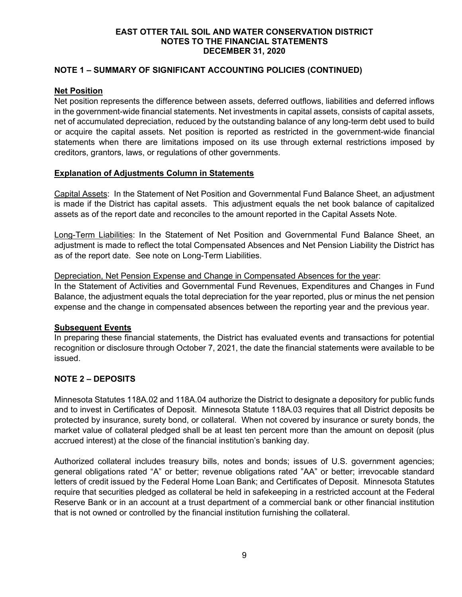## **NOTE 1 – SUMMARY OF SIGNIFICANT ACCOUNTING POLICIES (CONTINUED)**

#### **Net Position**

Net position represents the difference between assets, deferred outflows, liabilities and deferred inflows in the government-wide financial statements. Net investments in capital assets, consists of capital assets, net of accumulated depreciation, reduced by the outstanding balance of any long-term debt used to build or acquire the capital assets. Net position is reported as restricted in the government-wide financial statements when there are limitations imposed on its use through external restrictions imposed by creditors, grantors, laws, or regulations of other governments.

#### **Explanation of Adjustments Column in Statements**

Capital Assets: In the Statement of Net Position and Governmental Fund Balance Sheet, an adjustment is made if the District has capital assets. This adjustment equals the net book balance of capitalized assets as of the report date and reconciles to the amount reported in the Capital Assets Note.

Long-Term Liabilities: In the Statement of Net Position and Governmental Fund Balance Sheet, an adjustment is made to reflect the total Compensated Absences and Net Pension Liability the District has as of the report date. See note on Long-Term Liabilities.

#### Depreciation, Net Pension Expense and Change in Compensated Absences for the year:

In the Statement of Activities and Governmental Fund Revenues, Expenditures and Changes in Fund Balance, the adjustment equals the total depreciation for the year reported, plus or minus the net pension expense and the change in compensated absences between the reporting year and the previous year.

#### **Subsequent Events**

In preparing these financial statements, the District has evaluated events and transactions for potential recognition or disclosure through October 7, 2021, the date the financial statements were available to be issued.

#### **NOTE 2 – DEPOSITS**

Minnesota Statutes 118A.02 and 118A.04 authorize the District to designate a depository for public funds and to invest in Certificates of Deposit. Minnesota Statute 118A.03 requires that all District deposits be protected by insurance, surety bond, or collateral. When not covered by insurance or surety bonds, the market value of collateral pledged shall be at least ten percent more than the amount on deposit (plus accrued interest) at the close of the financial institution's banking day.

Authorized collateral includes treasury bills, notes and bonds; issues of U.S. government agencies; general obligations rated "A" or better; revenue obligations rated "AA" or better; irrevocable standard letters of credit issued by the Federal Home Loan Bank; and Certificates of Deposit. Minnesota Statutes require that securities pledged as collateral be held in safekeeping in a restricted account at the Federal Reserve Bank or in an account at a trust department of a commercial bank or other financial institution that is not owned or controlled by the financial institution furnishing the collateral.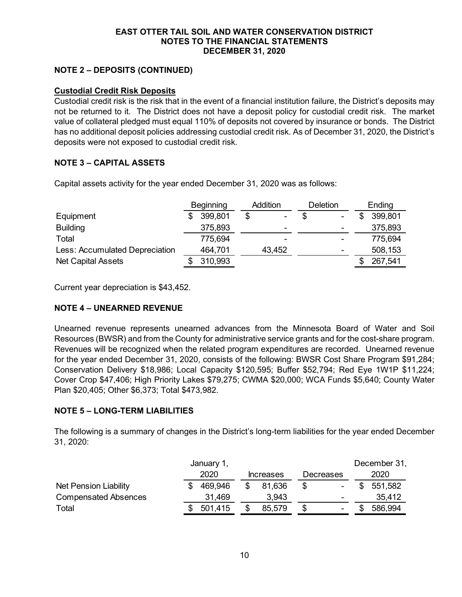# **NOTE 2 – DEPOSITS (CONTINUED)**

## **Custodial Credit Risk Deposits**

Custodial credit risk is the risk that in the event of a financial institution failure, the District's deposits may not be returned to it. The District does not have a deposit policy for custodial credit risk. The market value of collateral pledged must equal 110% of deposits not covered by insurance or bonds. The District has no additional deposit policies addressing custodial credit risk. As of December 31, 2020, the District's deposits were not exposed to custodial credit risk.

# **NOTE 3 – CAPITAL ASSETS**

Capital assets activity for the year ended December 31, 2020 was as follows:

|                                | Beginning | Addition | <b>Deletion</b> |   | Ending  |
|--------------------------------|-----------|----------|-----------------|---|---------|
| Equipment                      | 399,801   |          |                 | ۰ | 399,801 |
| <b>Building</b>                | 375,893   | -        |                 | ۰ | 375,893 |
| Total                          | 775,694   |          |                 | ۰ | 775,694 |
| Less: Accumulated Depreciation | 464,701   | 43,452   |                 | ۰ | 508,153 |
| <b>Net Capital Assets</b>      | 310,993   |          |                 |   | 267,541 |

Current year depreciation is \$43,452.

## **NOTE 4 – UNEARNED REVENUE**

Unearned revenue represents unearned advances from the Minnesota Board of Water and Soil Resources (BWSR) and from the County for administrative service grants and for the cost-share program. Revenues will be recognized when the related program expenditures are recorded. Unearned revenue for the year ended December 31, 2020, consists of the following: BWSR Cost Share Program \$91,284; Conservation Delivery \$18,986; Local Capacity \$120,595; Buffer \$52,794; Red Eye 1W1P \$11,224; Cover Crop \$47,406; High Priority Lakes \$79,275; CWMA \$20,000; WCA Funds \$5,640; County Water Plan \$20,405; Other \$6,373; Total \$473,982.

## **NOTE 5 – LONG-TERM LIABILITIES**

The following is a summary of changes in the District's long-term liabilities for the year ended December 31, 2020:

|                              | January 1, |                  |        |           | December 31, |         |  |
|------------------------------|------------|------------------|--------|-----------|--------------|---------|--|
|                              | 2020       | <b>Increases</b> |        | Decreases |              | 2020    |  |
| <b>Net Pension Liability</b> | 469,946    |                  | 81.636 |           | \$.          | 551,582 |  |
| <b>Compensated Absences</b>  | 31,469     |                  | 3.943  |           |              | 35,412  |  |
| Total                        | 501,415    |                  | 85,579 |           |              | 586,994 |  |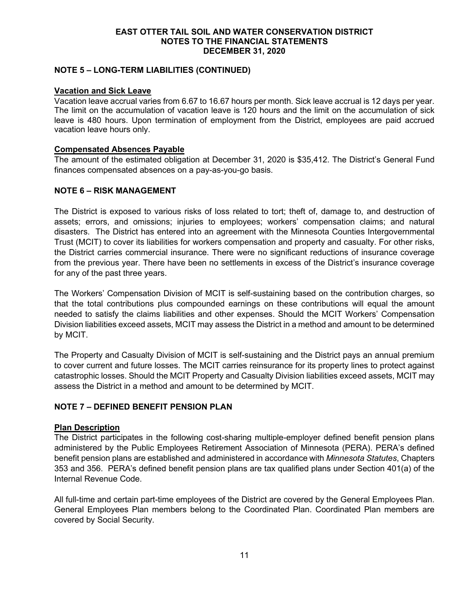## **NOTE 5 – LONG-TERM LIABILITIES (CONTINUED)**

#### **Vacation and Sick Leave**

Vacation leave accrual varies from 6.67 to 16.67 hours per month. Sick leave accrual is 12 days per year. The limit on the accumulation of vacation leave is 120 hours and the limit on the accumulation of sick leave is 480 hours. Upon termination of employment from the District, employees are paid accrued vacation leave hours only.

#### **Compensated Absences Payable**

The amount of the estimated obligation at December 31, 2020 is \$35,412. The District's General Fund finances compensated absences on a pay-as-you-go basis.

#### **NOTE 6 – RISK MANAGEMENT**

The District is exposed to various risks of loss related to tort; theft of, damage to, and destruction of assets; errors, and omissions; injuries to employees; workers' compensation claims; and natural disasters. The District has entered into an agreement with the Minnesota Counties Intergovernmental Trust (MCIT) to cover its liabilities for workers compensation and property and casualty. For other risks, the District carries commercial insurance. There were no significant reductions of insurance coverage from the previous year. There have been no settlements in excess of the District's insurance coverage for any of the past three years.

The Workers' Compensation Division of MCIT is self-sustaining based on the contribution charges, so that the total contributions plus compounded earnings on these contributions will equal the amount needed to satisfy the claims liabilities and other expenses. Should the MCIT Workers' Compensation Division liabilities exceed assets, MCIT may assess the District in a method and amount to be determined by MCIT.

The Property and Casualty Division of MCIT is self-sustaining and the District pays an annual premium to cover current and future losses. The MCIT carries reinsurance for its property lines to protect against catastrophic losses. Should the MCIT Property and Casualty Division liabilities exceed assets, MCIT may assess the District in a method and amount to be determined by MCIT.

## **NOTE 7 – DEFINED BENEFIT PENSION PLAN**

#### **Plan Description**

The District participates in the following cost-sharing multiple-employer defined benefit pension plans administered by the Public Employees Retirement Association of Minnesota (PERA). PERA's defined benefit pension plans are established and administered in accordance with *Minnesota Statutes*, Chapters 353 and 356. PERA's defined benefit pension plans are tax qualified plans under Section 401(a) of the Internal Revenue Code.

All full-time and certain part-time employees of the District are covered by the General Employees Plan. General Employees Plan members belong to the Coordinated Plan. Coordinated Plan members are covered by Social Security.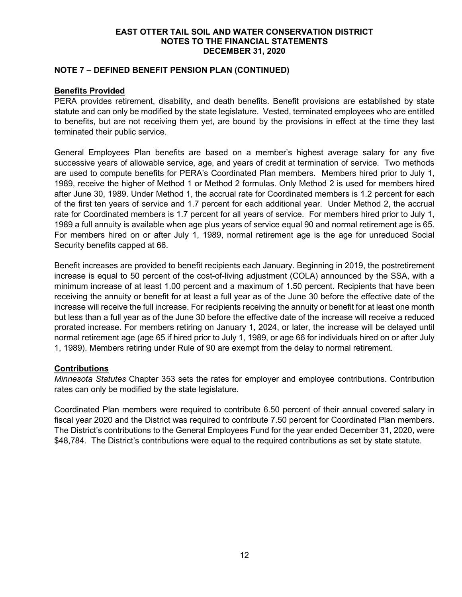## **NOTE 7 – DEFINED BENEFIT PENSION PLAN (CONTINUED)**

## **Benefits Provided**

PERA provides retirement, disability, and death benefits. Benefit provisions are established by state statute and can only be modified by the state legislature. Vested, terminated employees who are entitled to benefits, but are not receiving them yet, are bound by the provisions in effect at the time they last terminated their public service.

General Employees Plan benefits are based on a member's highest average salary for any five successive years of allowable service, age, and years of credit at termination of service. Two methods are used to compute benefits for PERA's Coordinated Plan members. Members hired prior to July 1, 1989, receive the higher of Method 1 or Method 2 formulas. Only Method 2 is used for members hired after June 30, 1989. Under Method 1, the accrual rate for Coordinated members is 1.2 percent for each of the first ten years of service and 1.7 percent for each additional year. Under Method 2, the accrual rate for Coordinated members is 1.7 percent for all years of service. For members hired prior to July 1, 1989 a full annuity is available when age plus years of service equal 90 and normal retirement age is 65. For members hired on or after July 1, 1989, normal retirement age is the age for unreduced Social Security benefits capped at 66.

Benefit increases are provided to benefit recipients each January. Beginning in 2019, the postretirement increase is equal to 50 percent of the cost-of-living adjustment (COLA) announced by the SSA, with a minimum increase of at least 1.00 percent and a maximum of 1.50 percent. Recipients that have been receiving the annuity or benefit for at least a full year as of the June 30 before the effective date of the increase will receive the full increase. For recipients receiving the annuity or benefit for at least one month but less than a full year as of the June 30 before the effective date of the increase will receive a reduced prorated increase. For members retiring on January 1, 2024, or later, the increase will be delayed until normal retirement age (age 65 if hired prior to July 1, 1989, or age 66 for individuals hired on or after July 1, 1989). Members retiring under Rule of 90 are exempt from the delay to normal retirement.

## **Contributions**

*Minnesota Statutes* Chapter 353 sets the rates for employer and employee contributions. Contribution rates can only be modified by the state legislature.

Coordinated Plan members were required to contribute 6.50 percent of their annual covered salary in fiscal year 2020 and the District was required to contribute 7.50 percent for Coordinated Plan members. The District's contributions to the General Employees Fund for the year ended December 31, 2020, were \$48,784. The District's contributions were equal to the required contributions as set by state statute.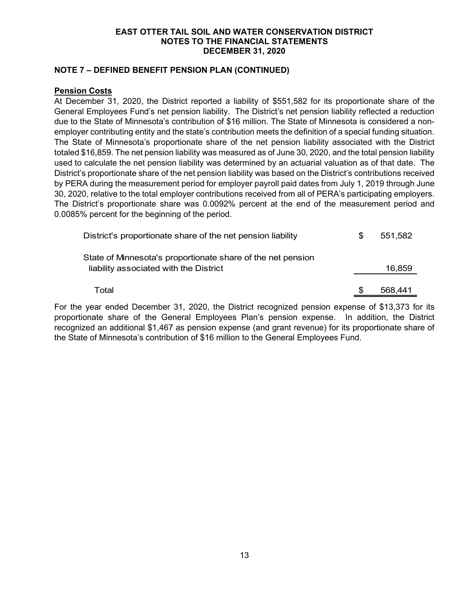## **NOTE 7 – DEFINED BENEFIT PENSION PLAN (CONTINUED)**

## **Pension Costs**

At December 31, 2020, the District reported a liability of \$551,582 for its proportionate share of the General Employees Fund's net pension liability. The District's net pension liability reflected a reduction due to the State of Minnesota's contribution of \$16 million. The State of Minnesota is considered a nonemployer contributing entity and the state's contribution meets the definition of a special funding situation. The State of Minnesota's proportionate share of the net pension liability associated with the District totaled \$16,859. The net pension liability was measured as of June 30, 2020, and the total pension liability used to calculate the net pension liability was determined by an actuarial valuation as of that date. The District's proportionate share of the net pension liability was based on the District's contributions received by PERA during the measurement period for employer payroll paid dates from July 1, 2019 through June 30, 2020, relative to the total employer contributions received from all of PERA's participating employers. The District's proportionate share was 0.0092% percent at the end of the measurement period and 0.0085% percent for the beginning of the period.

| District's proportionate share of the net pension liability | 551,582 |
|-------------------------------------------------------------|---------|
| State of Minnesota's proportionate share of the net pension |         |
| liability associated with the District                      | 16,859  |
| Total                                                       | 568,441 |

For the year ended December 31, 2020, the District recognized pension expense of \$13,373 for its proportionate share of the General Employees Plan's pension expense. In addition, the District recognized an additional \$1,467 as pension expense (and grant revenue) for its proportionate share of the State of Minnesota's contribution of \$16 million to the General Employees Fund.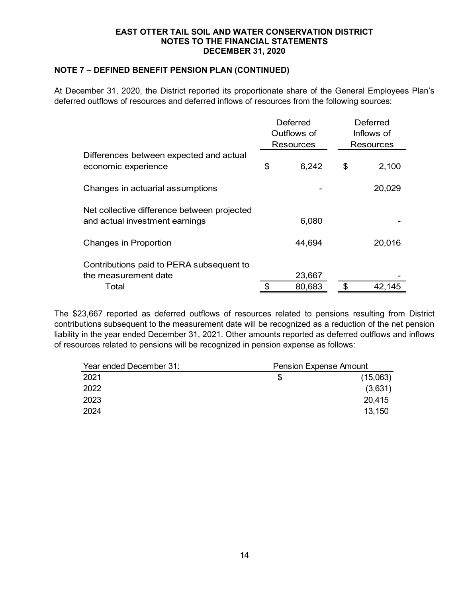## **NOTE 7 – DEFINED BENEFIT PENSION PLAN (CONTINUED)**

At December 31, 2020, the District reported its proportionate share of the General Employees Plan's deferred outflows of resources and deferred inflows of resources from the following sources:

|                                                                               | Deferred    |           | Deferred   |                  |
|-------------------------------------------------------------------------------|-------------|-----------|------------|------------------|
|                                                                               | Outflows of |           | Inflows of |                  |
|                                                                               |             | Resources |            | <b>Resources</b> |
| Differences between expected and actual<br>economic experience                | \$          | 6,242     | \$         | 2,100            |
| Changes in actuarial assumptions                                              |             |           |            | 20,029           |
| Net collective difference between projected<br>and actual investment earnings |             | 6,080     |            |                  |
| Changes in Proportion                                                         |             | 44,694    |            | 20,016           |
| Contributions paid to PERA subsequent to<br>the measurement date              |             | 23,667    |            |                  |
| Total                                                                         | \$          | 80,683    | \$         | 42,145           |

The \$23,667 reported as deferred outflows of resources related to pensions resulting from District contributions subsequent to the measurement date will be recognized as a reduction of the net pension liability in the year ended December 31, 2021. Other amounts reported as deferred outflows and inflows of resources related to pensions will be recognized in pension expense as follows:

| Year ended December 31: | <b>Pension Expense Amount</b> |          |
|-------------------------|-------------------------------|----------|
| 2021                    | S                             | (15,063) |
| 2022                    |                               | (3,631)  |
| 2023                    |                               | 20,415   |
| 2024                    |                               | 13,150   |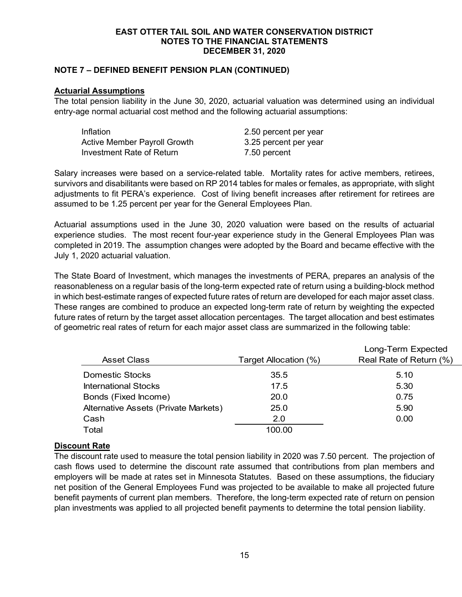## **NOTE 7 – DEFINED BENEFIT PENSION PLAN (CONTINUED)**

# **Actuarial Assumptions**

The total pension liability in the June 30, 2020, actuarial valuation was determined using an individual entry-age normal actuarial cost method and the following actuarial assumptions:

| Inflation                    | 2.50 percent per year |
|------------------------------|-----------------------|
| Active Member Payroll Growth | 3.25 percent per year |
| Investment Rate of Return    | 7.50 percent          |

Salary increases were based on a service-related table. Mortality rates for active members, retirees, survivors and disabilitants were based on RP 2014 tables for males or females, as appropriate, with slight adjustments to fit PERA's experience. Cost of living benefit increases after retirement for retirees are assumed to be 1.25 percent per year for the General Employees Plan.

Actuarial assumptions used in the June 30, 2020 valuation were based on the results of actuarial experience studies. The most recent four-year experience study in the General Employees Plan was completed in 2019. The assumption changes were adopted by the Board and became effective with the July 1, 2020 actuarial valuation.

The State Board of Investment, which manages the investments of PERA, prepares an analysis of the reasonableness on a regular basis of the long-term expected rate of return using a building-block method in which best-estimate ranges of expected future rates of return are developed for each major asset class. These ranges are combined to produce an expected long-term rate of return by weighting the expected future rates of return by the target asset allocation percentages. The target allocation and best estimates of geometric real rates of return for each major asset class are summarized in the following table:

|                                      |                       | Long-Term Expected      |
|--------------------------------------|-----------------------|-------------------------|
| <b>Asset Class</b>                   | Target Allocation (%) | Real Rate of Return (%) |
| Domestic Stocks                      | 35.5                  | 5.10                    |
| <b>International Stocks</b>          | 17.5                  | 5.30                    |
| Bonds (Fixed Income)                 | 20.0                  | 0.75                    |
| Alternative Assets (Private Markets) | 25.0                  | 5.90                    |
| Cash                                 | 2.0                   | 0.00                    |
| Total                                | 100.00                |                         |

## **Discount Rate**

The discount rate used to measure the total pension liability in 2020 was 7.50 percent. The projection of cash flows used to determine the discount rate assumed that contributions from plan members and employers will be made at rates set in Minnesota Statutes. Based on these assumptions, the fiduciary net position of the General Employees Fund was projected to be available to make all projected future benefit payments of current plan members. Therefore, the long-term expected rate of return on pension plan investments was applied to all projected benefit payments to determine the total pension liability.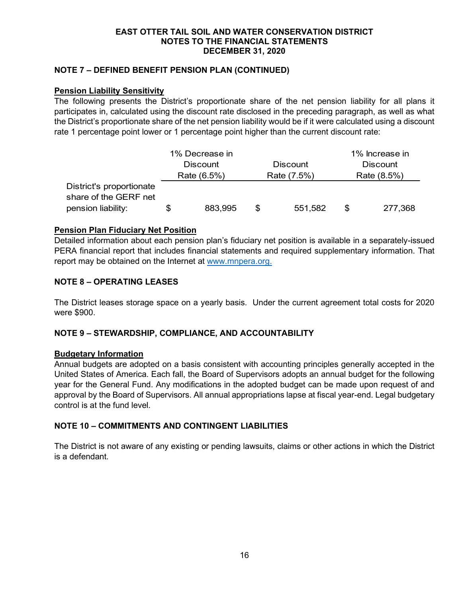## **NOTE 7 – DEFINED BENEFIT PENSION PLAN (CONTINUED)**

## **Pension Liability Sensitivity**

The following presents the District's proportionate share of the net pension liability for all plans it participates in, calculated using the discount rate disclosed in the preceding paragraph, as well as what the District's proportionate share of the net pension liability would be if it were calculated using a discount rate 1 percentage point lower or 1 percentage point higher than the current discount rate:

|                          | 1% Decrease in  |   |                 |   | 1% Increase in  |
|--------------------------|-----------------|---|-----------------|---|-----------------|
|                          | <b>Discount</b> |   | <b>Discount</b> |   | <b>Discount</b> |
|                          | Rate (6.5%)     |   | Rate (7.5%)     |   | Rate (8.5%)     |
| District's proportionate |                 |   |                 |   |                 |
| share of the GERF net    |                 |   |                 |   |                 |
| pension liability:       | 883,995         | S | 551,582         | S | 277,368         |

## **Pension Plan Fiduciary Net Position**

Detailed information about each pension plan's fiduciary net position is available in a separately-issued PERA financial report that includes financial statements and required supplementary information. That report may be obtained on the Internet at [www.mnpera.org.](http://www.mnpera.org/)

## **NOTE 8 – OPERATING LEASES**

The District leases storage space on a yearly basis. Under the current agreement total costs for 2020 were \$900.

## **NOTE 9 – STEWARDSHIP, COMPLIANCE, AND ACCOUNTABILITY**

## **Budgetary Information**

Annual budgets are adopted on a basis consistent with accounting principles generally accepted in the United States of America. Each fall, the Board of Supervisors adopts an annual budget for the following year for the General Fund. Any modifications in the adopted budget can be made upon request of and approval by the Board of Supervisors. All annual appropriations lapse at fiscal year-end. Legal budgetary control is at the fund level.

## **NOTE 10 – COMMITMENTS AND CONTINGENT LIABILITIES**

The District is not aware of any existing or pending lawsuits, claims or other actions in which the District is a defendant.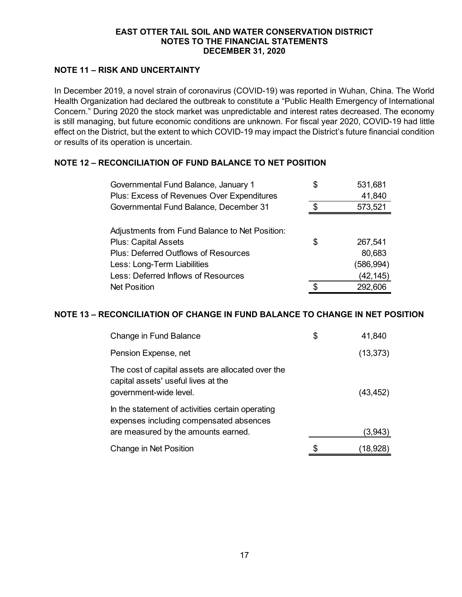# **NOTE 11 – RISK AND UNCERTAINTY**

In December 2019, a novel strain of coronavirus (COVID-19) was reported in Wuhan, China. The World Health Organization had declared the outbreak to constitute a "Public Health Emergency of International Concern." During 2020 the stock market was unpredictable and interest rates decreased. The economy is still managing, but future economic conditions are unknown. For fiscal year 2020, COVID-19 had little effect on the District, but the extent to which COVID-19 may impact the District's future financial condition or results of its operation is uncertain.

# **NOTE 12 – RECONCILIATION OF FUND BALANCE TO NET POSITION**

| Governmental Fund Balance, January 1           | \$ | 531,681   |
|------------------------------------------------|----|-----------|
| Plus: Excess of Revenues Over Expenditures     |    | 41,840    |
| Governmental Fund Balance, December 31         | S. | 573,521   |
|                                                |    |           |
| Adjustments from Fund Balance to Net Position: |    |           |
| <b>Plus: Capital Assets</b>                    | \$ | 267,541   |
| <b>Plus: Deferred Outflows of Resources</b>    |    | 80,683    |
| Less: Long-Term Liabilities                    |    | (586,994) |
| Less: Deferred Inflows of Resources            |    | (42, 145) |
| <b>Net Position</b>                            | \$ | 292,606   |

# **NOTE 13 – RECONCILIATION OF CHANGE IN FUND BALANCE TO CHANGE IN NET POSITION**

| Change in Fund Balance                                                                                             | \$ | 41,840    |
|--------------------------------------------------------------------------------------------------------------------|----|-----------|
| Pension Expense, net                                                                                               |    | (13, 373) |
| The cost of capital assets are allocated over the<br>capital assets' useful lives at the<br>government-wide level. |    | (43, 452) |
| In the statement of activities certain operating<br>expenses including compensated absences                        |    |           |
| are measured by the amounts earned.                                                                                |    | (3,943)   |
| Change in Net Position                                                                                             | S  | (18,928)  |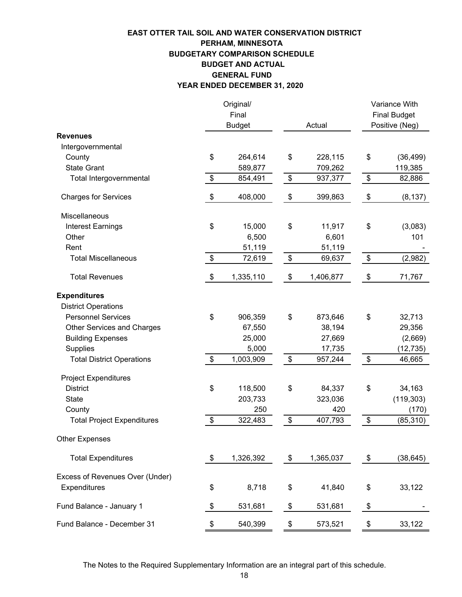# **EAST OTTER TAIL SOIL AND WATER CONSERVATION DISTRICT PERHAM, MINNESOTA BUDGETARY COMPARISON SCHEDULE BUDGET AND ACTUAL GENERAL FUND YEAR ENDED DECEMBER 31, 2020**

|                                   | Original/<br>Final |                 |                                           | Variance With<br><b>Final Budget</b> |  |
|-----------------------------------|--------------------|-----------------|-------------------------------------------|--------------------------------------|--|
|                                   | <b>Budget</b>      | Actual          | Positive (Neg)                            |                                      |  |
| <b>Revenues</b>                   |                    |                 |                                           |                                      |  |
| Intergovernmental                 |                    |                 |                                           |                                      |  |
| County                            | \$<br>264,614      | \$<br>228,115   | \$                                        | (36, 499)                            |  |
| <b>State Grant</b>                | 589,877            | 709,262         |                                           | 119,385                              |  |
| Total Intergovernmental           | \$<br>854,491      | \$<br>937,377   | \$                                        | 82,886                               |  |
| <b>Charges for Services</b>       | \$<br>408,000      | \$<br>399,863   | \$                                        | (8, 137)                             |  |
| Miscellaneous                     |                    |                 |                                           |                                      |  |
| <b>Interest Earnings</b>          | \$<br>15,000       | \$<br>11,917    | \$                                        | (3,083)                              |  |
| Other                             | 6,500              | 6,601           |                                           | 101                                  |  |
| Rent                              | 51,119             | 51,119          |                                           |                                      |  |
| <b>Total Miscellaneous</b>        | \$<br>72,619       | \$<br>69,637    | $\boldsymbol{\$}$                         | (2,982)                              |  |
| <b>Total Revenues</b>             | \$<br>1,335,110    | \$<br>1,406,877 | \$                                        | 71,767                               |  |
| <b>Expenditures</b>               |                    |                 |                                           |                                      |  |
| <b>District Operations</b>        |                    |                 |                                           |                                      |  |
| <b>Personnel Services</b>         | \$<br>906,359      | \$<br>873,646   | \$                                        | 32,713                               |  |
| Other Services and Charges        | 67,550             | 38,194          |                                           | 29,356                               |  |
| <b>Building Expenses</b>          | 25,000             | 27,669          |                                           | (2,669)                              |  |
| Supplies                          | 5,000              | 17,735          |                                           | (12, 735)                            |  |
| <b>Total District Operations</b>  | \$<br>1,003,909    | \$<br>957,244   | $\, \, \raisebox{12pt}{$\scriptstyle \$}$ | 46,665                               |  |
| <b>Project Expenditures</b>       |                    |                 |                                           |                                      |  |
| <b>District</b>                   | \$<br>118,500      | \$<br>84,337    | \$                                        | 34,163                               |  |
| <b>State</b>                      | 203,733            | 323,036         |                                           | (119, 303)                           |  |
| County                            | 250                | 420             |                                           | (170)                                |  |
| <b>Total Project Expenditures</b> | \$<br>322,483      | \$<br>407,793   | \$                                        | (85, 310)                            |  |
| <b>Other Expenses</b>             |                    |                 |                                           |                                      |  |
| <b>Total Expenditures</b>         | \$<br>1,326,392    | \$<br>1,365,037 | \$                                        | (38, 645)                            |  |
| Excess of Revenues Over (Under)   |                    |                 |                                           |                                      |  |
| Expenditures                      | \$<br>8,718        | \$<br>41,840    | \$                                        | 33,122                               |  |
| Fund Balance - January 1          | \$<br>531,681      | \$<br>531,681   | \$                                        |                                      |  |
| Fund Balance - December 31        | \$<br>540,399      | \$<br>573,521   | \$                                        | 33,122                               |  |

The Notes to the Required Supplementary Information are an integral part of this schedule.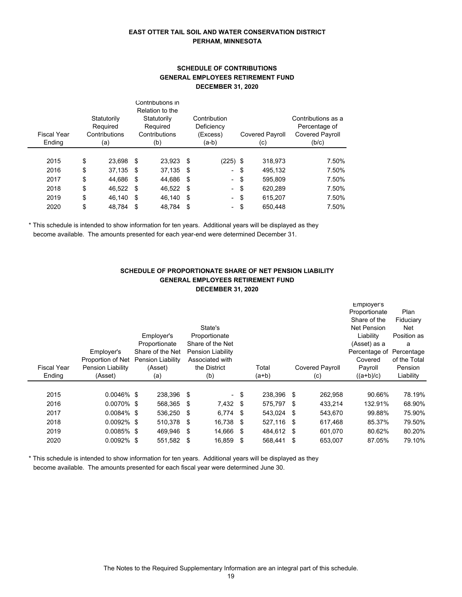#### **EAST OTTER TAIL SOIL AND WATER CONSERVATION DISTRICT PERHAM, MINNESOTA**

#### **SCHEDULE OF CONTRIBUTIONS GENERAL EMPLOYEES RETIREMENT FUND DECEMBER 31, 2020**

|                    |               |      | Contributions in<br>Relation to the |      |              |     |                 |                        |  |
|--------------------|---------------|------|-------------------------------------|------|--------------|-----|-----------------|------------------------|--|
|                    | Statutorily   |      | Statutorily                         |      | Contribution |     |                 | Contributions as a     |  |
|                    | Required      |      | Required                            |      | Deficiency   |     |                 | Percentage of          |  |
| <b>Fiscal Year</b> | Contributions |      | Contributions                       |      | (Excess)     |     | Covered Payroll | <b>Covered Payroll</b> |  |
| Ending             | (a)           |      | (b)                                 |      | (a-b)        | (c) |                 | (b/c)                  |  |
|                    |               |      |                                     |      |              |     |                 |                        |  |
| 2015               | \$<br>23,698  | - \$ | 23,923                              | - \$ | (225) \$     |     | 318,973         | 7.50%                  |  |
| 2016               | \$<br>37,135  | - \$ | 37,135                              | - \$ | $\sim$       | \$  | 495,132         | 7.50%                  |  |
| 2017               | \$<br>44,686  | - \$ | 44.686                              | -\$  | $\sim$       | \$  | 595.809         | 7.50%                  |  |
| 2018               | \$<br>46,522  | - \$ | 46,522                              | - \$ | $\sim$       | \$  | 620,289         | 7.50%                  |  |
| 2019               | \$<br>46.140  | \$   | 46.140                              | \$   | $\sim$       | \$  | 615.207         | 7.50%                  |  |
| 2020               | \$<br>48.784  | \$   | 48.784                              | \$   | $\sim$       | \$  | 650.448         | 7.50%                  |  |
|                    |               |      |                                     |      |              |     |                 |                        |  |

\* This schedule is intended to show information for ten years. Additional years will be displayed as they become available. The amounts presented for each year-end were determined December 31.

#### **SCHEDULE OF PROPORTIONATE SHARE OF NET PENSION LIABILITY GENERAL EMPLOYEES RETIREMENT FUND DECEMBER 31, 2020**

|                    |                   |                          |                   |      |            |      |                        | Employer's         |              |
|--------------------|-------------------|--------------------------|-------------------|------|------------|------|------------------------|--------------------|--------------|
|                    |                   |                          |                   |      |            |      |                        | Proportionate      | Plan         |
|                    |                   |                          |                   |      |            |      |                        | Share of the       | Fiduciary    |
|                    |                   |                          | State's           |      |            |      |                        | <b>Net Pension</b> | Net          |
|                    |                   | Employer's               | Proportionate     |      |            |      |                        | Liability          | Position as  |
|                    |                   | Proportionate            | Share of the Net  |      |            |      |                        | (Asset) as a       | a            |
|                    | Employer's        | Share of the Net         | Pension Liability |      |            |      |                        | Percentage of      | Percentage   |
|                    | Proportion of Net | <b>Pension Liability</b> | Associated with   |      |            |      |                        | Covered            | of the Total |
| <b>Fiscal Year</b> | Pension Liability | (Asset)                  | the District      |      | Total      |      | <b>Covered Payroll</b> | Payroll            | Pension      |
|                    |                   |                          |                   |      |            |      |                        |                    |              |
| Ending             | (Asset)           | (a)                      | (b)               |      | $(a+b)$    |      | (c)                    | $((a+b)/c)$        | Liability    |
|                    |                   |                          |                   |      |            |      |                        |                    |              |
| 2015               | $0.0046\%$ \$     | 238,396 \$               |                   | - \$ | 238,396 \$ |      | 262,958                | 90.66%             | 78.19%       |
| 2016               | $0.0070\%$ \$     | 568,365                  | 7,432 \$<br>- \$  |      | 575,797 \$ |      | 433,214                | 132.91%            | 68.90%       |
| 2017               | $0.0084\%$ \$     | 536.250                  | \$<br>$6,774$ \$  |      | 543,024    | - \$ | 543,670                | 99.88%             | 75.90%       |
| 2018               | $0.0092\%$ \$     | 510,378                  | 16,738 \$<br>- \$ |      | 527,116 \$ |      | 617,468                | 85.37%             | 79.50%       |
| 2019               | $0.0085\%$ \$     | 469.946                  | 14,666<br>\$      | - \$ | 484,612 \$ |      | 601.070                | 80.62%             | 80.20%       |

\* This schedule is intended to show information for ten years. Additional years will be displayed as they become available. The amounts presented for each fiscal year were determined June 30.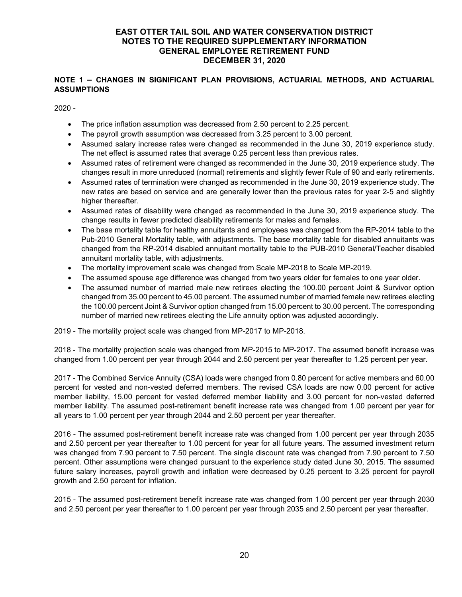## **EAST OTTER TAIL SOIL AND WATER CONSERVATION DISTRICT NOTES TO THE REQUIRED SUPPLEMENTARY INFORMATION GENERAL EMPLOYEE RETIREMENT FUND DECEMBER 31, 2020**

### **NOTE 1 – CHANGES IN SIGNIFICANT PLAN PROVISIONS, ACTUARIAL METHODS, AND ACTUARIAL ASSUMPTIONS**

2020 -

- The price inflation assumption was decreased from 2.50 percent to 2.25 percent.
- The payroll growth assumption was decreased from 3.25 percent to 3.00 percent.
- Assumed salary increase rates were changed as recommended in the June 30, 2019 experience study. The net effect is assumed rates that average 0.25 percent less than previous rates.
- Assumed rates of retirement were changed as recommended in the June 30, 2019 experience study. The changes result in more unreduced (normal) retirements and slightly fewer Rule of 90 and early retirements.
- Assumed rates of termination were changed as recommended in the June 30, 2019 experience study. The new rates are based on service and are generally lower than the previous rates for year 2-5 and slightly higher thereafter.
- Assumed rates of disability were changed as recommended in the June 30, 2019 experience study. The change results in fewer predicted disability retirements for males and females.
- The base mortality table for healthy annuitants and employees was changed from the RP-2014 table to the Pub-2010 General Mortality table, with adjustments. The base mortality table for disabled annuitants was changed from the RP-2014 disabled annuitant mortality table to the PUB-2010 General/Teacher disabled annuitant mortality table, with adjustments.
- The mortality improvement scale was changed from Scale MP-2018 to Scale MP-2019.
- The assumed spouse age difference was changed from two years older for females to one year older.
- The assumed number of married male new retirees electing the 100.00 percent Joint & Survivor option changed from 35.00 percent to 45.00 percent. The assumed number of married female new retirees electing the 100.00 percent Joint & Survivor option changed from 15.00 percent to 30.00 percent. The corresponding number of married new retirees electing the Life annuity option was adjusted accordingly.

2019 - The mortality project scale was changed from MP-2017 to MP-2018.

2018 - The mortality projection scale was changed from MP-2015 to MP-2017. The assumed benefit increase was changed from 1.00 percent per year through 2044 and 2.50 percent per year thereafter to 1.25 percent per year.

2017 - The Combined Service Annuity (CSA) loads were changed from 0.80 percent for active members and 60.00 percent for vested and non-vested deferred members. The revised CSA loads are now 0.00 percent for active member liability, 15.00 percent for vested deferred member liability and 3.00 percent for non-vested deferred member liability. The assumed post-retirement benefit increase rate was changed from 1.00 percent per year for all years to 1.00 percent per year through 2044 and 2.50 percent per year thereafter.

2016 - The assumed post-retirement benefit increase rate was changed from 1.00 percent per year through 2035 and 2.50 percent per year thereafter to 1.00 percent for year for all future years. The assumed investment return was changed from 7.90 percent to 7.50 percent. The single discount rate was changed from 7.90 percent to 7.50 percent. Other assumptions were changed pursuant to the experience study dated June 30, 2015. The assumed future salary increases, payroll growth and inflation were decreased by 0.25 percent to 3.25 percent for payroll growth and 2.50 percent for inflation.

2015 - The assumed post-retirement benefit increase rate was changed from 1.00 percent per year through 2030 and 2.50 percent per year thereafter to 1.00 percent per year through 2035 and 2.50 percent per year thereafter.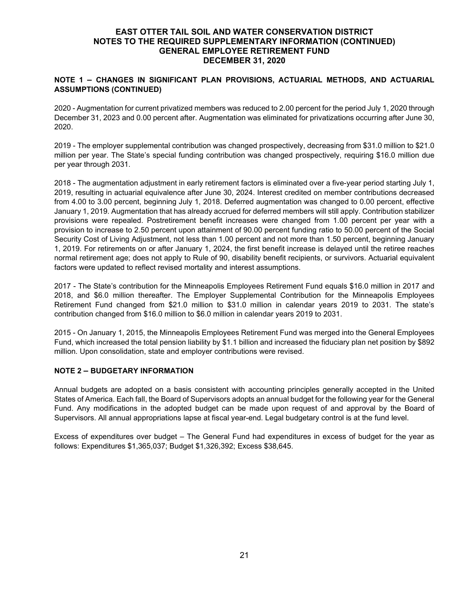## **EAST OTTER TAIL SOIL AND WATER CONSERVATION DISTRICT NOTES TO THE REQUIRED SUPPLEMENTARY INFORMATION (CONTINUED) GENERAL EMPLOYEE RETIREMENT FUND DECEMBER 31, 2020**

#### **NOTE 1 – CHANGES IN SIGNIFICANT PLAN PROVISIONS, ACTUARIAL METHODS, AND ACTUARIAL ASSUMPTIONS (CONTINUED)**

2020 - Augmentation for current privatized members was reduced to 2.00 percent for the period July 1, 2020 through December 31, 2023 and 0.00 percent after. Augmentation was eliminated for privatizations occurring after June 30, 2020.

2019 - The employer supplemental contribution was changed prospectively, decreasing from \$31.0 million to \$21.0 million per year. The State's special funding contribution was changed prospectively, requiring \$16.0 million due per year through 2031.

2018 - The augmentation adjustment in early retirement factors is eliminated over a five-year period starting July 1, 2019, resulting in actuarial equivalence after June 30, 2024. Interest credited on member contributions decreased from 4.00 to 3.00 percent, beginning July 1, 2018. Deferred augmentation was changed to 0.00 percent, effective January 1, 2019. Augmentation that has already accrued for deferred members will still apply. Contribution stabilizer provisions were repealed. Postretirement benefit increases were changed from 1.00 percent per year with a provision to increase to 2.50 percent upon attainment of 90.00 percent funding ratio to 50.00 percent of the Social Security Cost of Living Adjustment, not less than 1.00 percent and not more than 1.50 percent, beginning January 1, 2019. For retirements on or after January 1, 2024, the first benefit increase is delayed until the retiree reaches normal retirement age; does not apply to Rule of 90, disability benefit recipients, or survivors. Actuarial equivalent factors were updated to reflect revised mortality and interest assumptions.

2017 - The State's contribution for the Minneapolis Employees Retirement Fund equals \$16.0 million in 2017 and 2018, and \$6.0 million thereafter. The Employer Supplemental Contribution for the Minneapolis Employees Retirement Fund changed from \$21.0 million to \$31.0 million in calendar years 2019 to 2031. The state's contribution changed from \$16.0 million to \$6.0 million in calendar years 2019 to 2031.

2015 - On January 1, 2015, the Minneapolis Employees Retirement Fund was merged into the General Employees Fund, which increased the total pension liability by \$1.1 billion and increased the fiduciary plan net position by \$892 million. Upon consolidation, state and employer contributions were revised.

## **NOTE 2 – BUDGETARY INFORMATION**

Annual budgets are adopted on a basis consistent with accounting principles generally accepted in the United States of America. Each fall, the Board of Supervisors adopts an annual budget for the following year for the General Fund. Any modifications in the adopted budget can be made upon request of and approval by the Board of Supervisors. All annual appropriations lapse at fiscal year-end. Legal budgetary control is at the fund level.

Excess of expenditures over budget – The General Fund had expenditures in excess of budget for the year as follows: Expenditures \$1,365,037; Budget \$1,326,392; Excess \$38,645.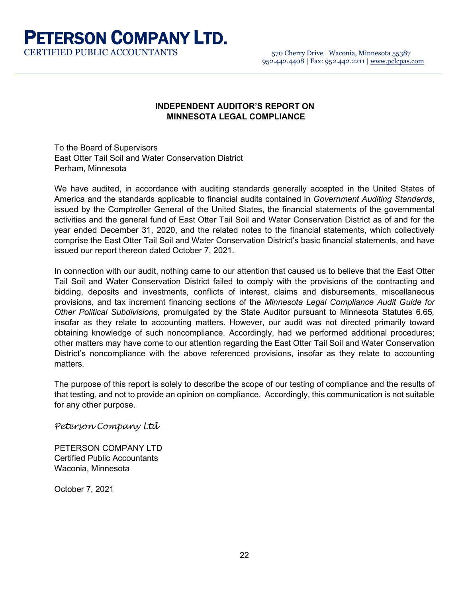952.442.4408 | Fax: 952.442.2211 [| www.pclcpas.com](http://www.pclcpas.com/)

# **PETERSON COMPANY LTD.**<br>CERTIFIED PUBLIC ACCOUNTANTS 570 Cherry Drive | Waconia, Minnesota 55387

# **INDEPENDENT AUDITOR'S REPORT ON MINNESOTA LEGAL COMPLIANCE**

To the Board of Supervisors East Otter Tail Soil and Water Conservation District Perham, Minnesota

We have audited, in accordance with auditing standards generally accepted in the United States of America and the standards applicable to financial audits contained in *Government Auditing Standards*, issued by the Comptroller General of the United States, the financial statements of the governmental activities and the general fund of East Otter Tail Soil and Water Conservation District as of and for the year ended December 31, 2020, and the related notes to the financial statements, which collectively comprise the East Otter Tail Soil and Water Conservation District's basic financial statements, and have issued our report thereon dated October 7, 2021.

In connection with our audit, nothing came to our attention that caused us to believe that the East Otter Tail Soil and Water Conservation District failed to comply with the provisions of the contracting and bidding, deposits and investments, conflicts of interest, claims and disbursements, miscellaneous provisions, and tax increment financing sections of the *Minnesota Legal Compliance Audit Guide for Other Political Subdivisions,* promulgated by the State Auditor pursuant to Minnesota Statutes 6.65*,*  insofar as they relate to accounting matters. However, our audit was not directed primarily toward obtaining knowledge of such noncompliance. Accordingly, had we performed additional procedures; other matters may have come to our attention regarding the East Otter Tail Soil and Water Conservation District's noncompliance with the above referenced provisions, insofar as they relate to accounting matters.

The purpose of this report is solely to describe the scope of our testing of compliance and the results of that testing, and not to provide an opinion on compliance. Accordingly, this communication is not suitable for any other purpose.

*Peterson Company Ltd*

PETERSON COMPANY LTD Certified Public Accountants Waconia, Minnesota

October 7, 2021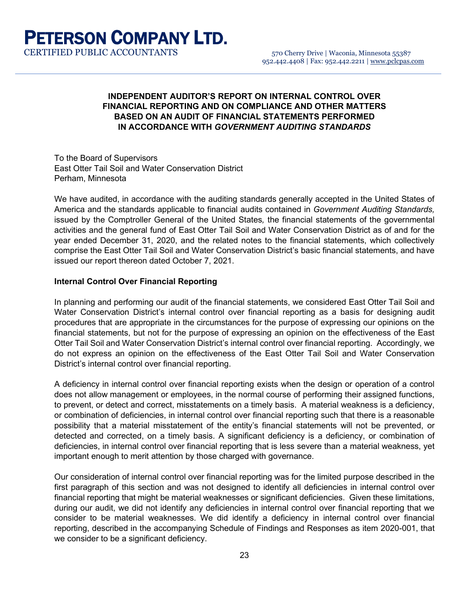# **INDEPENDENT AUDITOR'S REPORT ON INTERNAL CONTROL OVER FINANCIAL REPORTING AND ON COMPLIANCE AND OTHER MATTERS BASED ON AN AUDIT OF FINANCIAL STATEMENTS PERFORMED IN ACCORDANCE WITH** *GOVERNMENT AUDITING STANDARDS*

To the Board of Supervisors East Otter Tail Soil and Water Conservation District Perham, Minnesota

We have audited, in accordance with the auditing standards generally accepted in the United States of America and the standards applicable to financial audits contained in *Government Auditing Standards,* issued by the Comptroller General of the United States*,* the financial statements of the governmental activities and the general fund of East Otter Tail Soil and Water Conservation District as of and for the year ended December 31, 2020, and the related notes to the financial statements, which collectively comprise the East Otter Tail Soil and Water Conservation District's basic financial statements, and have issued our report thereon dated October 7, 2021.

# **Internal Control Over Financial Reporting**

In planning and performing our audit of the financial statements, we considered East Otter Tail Soil and Water Conservation District's internal control over financial reporting as a basis for designing audit procedures that are appropriate in the circumstances for the purpose of expressing our opinions on the financial statements, but not for the purpose of expressing an opinion on the effectiveness of the East Otter Tail Soil and Water Conservation District's internal control over financial reporting. Accordingly, we do not express an opinion on the effectiveness of the East Otter Tail Soil and Water Conservation District's internal control over financial reporting.

A deficiency in internal control over financial reporting exists when the design or operation of a control does not allow management or employees, in the normal course of performing their assigned functions, to prevent, or detect and correct, misstatements on a timely basis. A material weakness is a deficiency, or combination of deficiencies, in internal control over financial reporting such that there is a reasonable possibility that a material misstatement of the entity's financial statements will not be prevented, or detected and corrected, on a timely basis. A significant deficiency is a deficiency, or combination of deficiencies, in internal control over financial reporting that is less severe than a material weakness, yet important enough to merit attention by those charged with governance.

Our consideration of internal control over financial reporting was for the limited purpose described in the first paragraph of this section and was not designed to identify all deficiencies in internal control over financial reporting that might be material weaknesses or significant deficiencies. Given these limitations, during our audit, we did not identify any deficiencies in internal control over financial reporting that we consider to be material weaknesses. We did identify a deficiency in internal control over financial reporting, described in the accompanying Schedule of Findings and Responses as item 2020-001, that we consider to be a significant deficiency.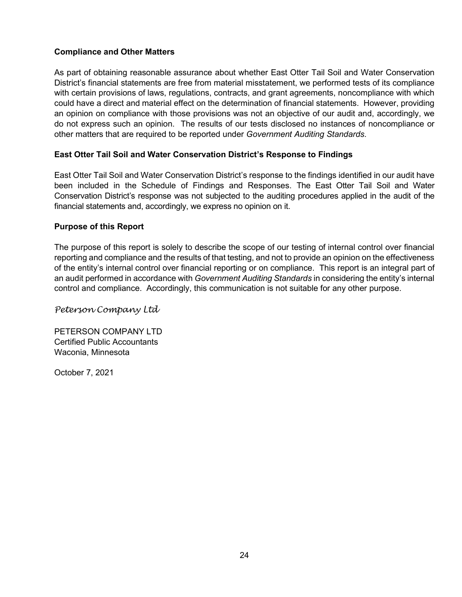# **Compliance and Other Matters**

As part of obtaining reasonable assurance about whether East Otter Tail Soil and Water Conservation District's financial statements are free from material misstatement, we performed tests of its compliance with certain provisions of laws, regulations, contracts, and grant agreements, noncompliance with which could have a direct and material effect on the determination of financial statements. However, providing an opinion on compliance with those provisions was not an objective of our audit and, accordingly, we do not express such an opinion. The results of our tests disclosed no instances of noncompliance or other matters that are required to be reported under *Government Auditing Standards*.

# **East Otter Tail Soil and Water Conservation District's Response to Findings**

East Otter Tail Soil and Water Conservation District's response to the findings identified in our audit have been included in the Schedule of Findings and Responses. The East Otter Tail Soil and Water Conservation District's response was not subjected to the auditing procedures applied in the audit of the financial statements and, accordingly, we express no opinion on it.

## **Purpose of this Report**

The purpose of this report is solely to describe the scope of our testing of internal control over financial reporting and compliance and the results of that testing, and not to provide an opinion on the effectiveness of the entity's internal control over financial reporting or on compliance. This report is an integral part of an audit performed in accordance with *Government Auditing Standards* in considering the entity's internal control and compliance. Accordingly, this communication is not suitable for any other purpose.

*Peterson Company Ltd*

PETERSON COMPANY LTD Certified Public Accountants Waconia, Minnesota

October 7, 2021